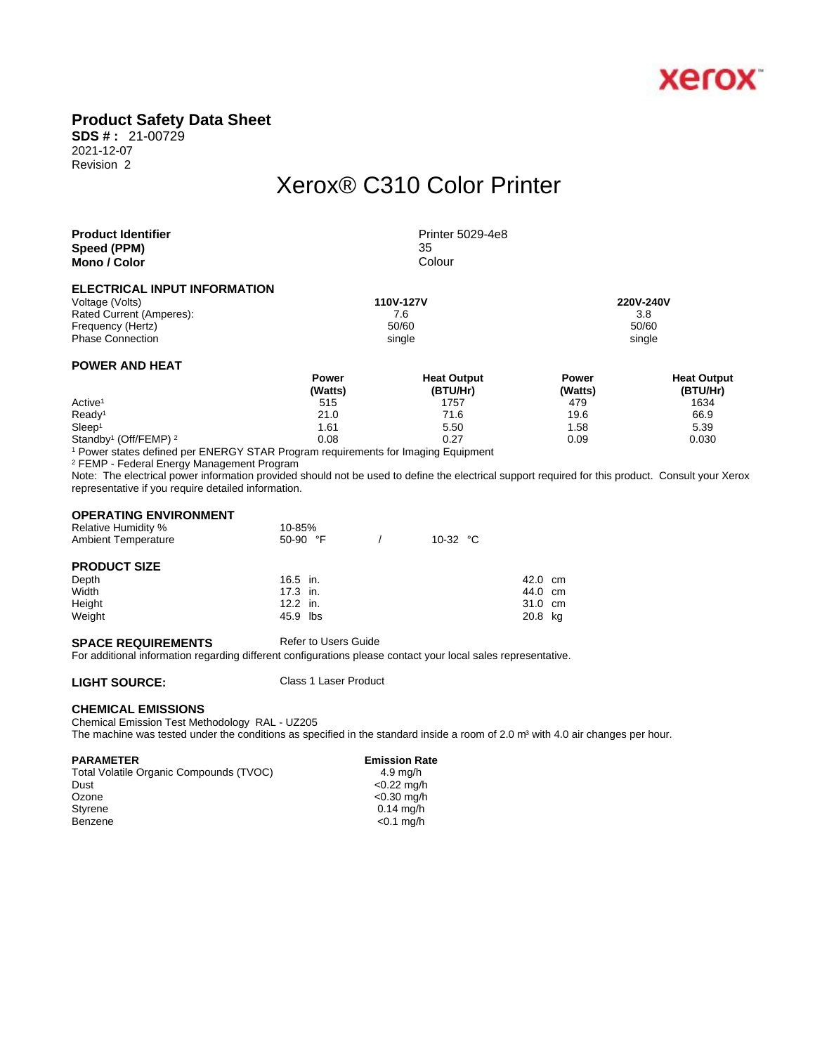

## **Product Safety Data Sheet**

**SDS # :** 21-00729 2021-12-07 Revision 2

# Xerox® C310 Color Printer

| <b>Product Identifier</b>           | Printer 5029-4e8 |           |  |
|-------------------------------------|------------------|-----------|--|
| Speed (PPM)                         | 35               |           |  |
| Mono / Color                        | Colour           |           |  |
| <b>ELECTRICAL INPUT INFORMATION</b> |                  |           |  |
| Voltage (Volts)                     | 110V-127V        | 220V-240V |  |

Rated Current (Amperes): T.6 3.8 Frequency (Hertz) 50/60 50/60 50/60 50/60 50/60 50/60 50/60 Phase Connection single single single single single single single single single single

### **POWER AND HEAT**

|                                              | Power   | <b>Heat Output</b> | Power   | <b>Heat Output</b> |  |
|----------------------------------------------|---------|--------------------|---------|--------------------|--|
|                                              | (Watts) | (BTU/Hr)           | (Watts) | (BTU/Hr)           |  |
| Active <sup>1</sup>                          | 515     | 1757               | 479     | 1634               |  |
| Ready <sup>1</sup>                           | 21.0    | 71.6               | 19.6    | 66.9               |  |
| Sleep <sup>1</sup>                           | 1.61    | 5.50               | 1.58    | 5.39               |  |
| Standby <sup>1</sup> (Off/FEMP) <sup>2</sup> | 0.08    | 0.27               | 0.09    | 0.030              |  |

1 Power states defined per ENERGY STAR Program requirements for Imaging Equipment

2 FEMP - Federal Energy Management Program

Note: The electrical power information provided should not be used to define the electrical support required for this product. Consult your Xerox representative if you require detailed information.

### **OPERATING ENVIRONMENT**

| <b>Relative Humidity %</b> | 10-85%            |                   |         |  |
|----------------------------|-------------------|-------------------|---------|--|
| <b>Ambient Temperature</b> | 50-90 $\degree$ F | 10-32 $\degree$ C |         |  |
| <b>PRODUCT SIZE</b>        |                   |                   |         |  |
| Depth                      | $16.5$ in.        |                   | 42.0 cm |  |
| Width                      | $17.3$ in.        |                   | 44.0 cm |  |
| Height                     | $12.2$ in.        |                   | 31.0 cm |  |
| Weight                     | 45.9 lbs          |                   | 20.8 kg |  |

#### **SPACE REQUIREMENTS** Refer to Users Guide

For additional information regarding different configurations please contact your local sales representative.

**LIGHT SOURCE:** Class 1 Laser Product

#### **CHEMICAL EMISSIONS**

Chemical Emission Test Methodology RAL - UZ205

The machine was tested under the conditions as specified in the standard inside a room of 2.0 m<sup>3</sup> with 4.0 air changes per hour.

#### PARAMETER **EMISSION RATES**

Total Volatile Organic Compounds (TVOC) 4.9 mg/h<br>Dust <0.22 mg/l Dust <0.22 mg/h<br>Ozone <0.30 mg/h Ozone <0.30 mg/h<br>Styrene <0.30 mg/h Benzene <0.1 mg/h

 $0.14$  mg/h